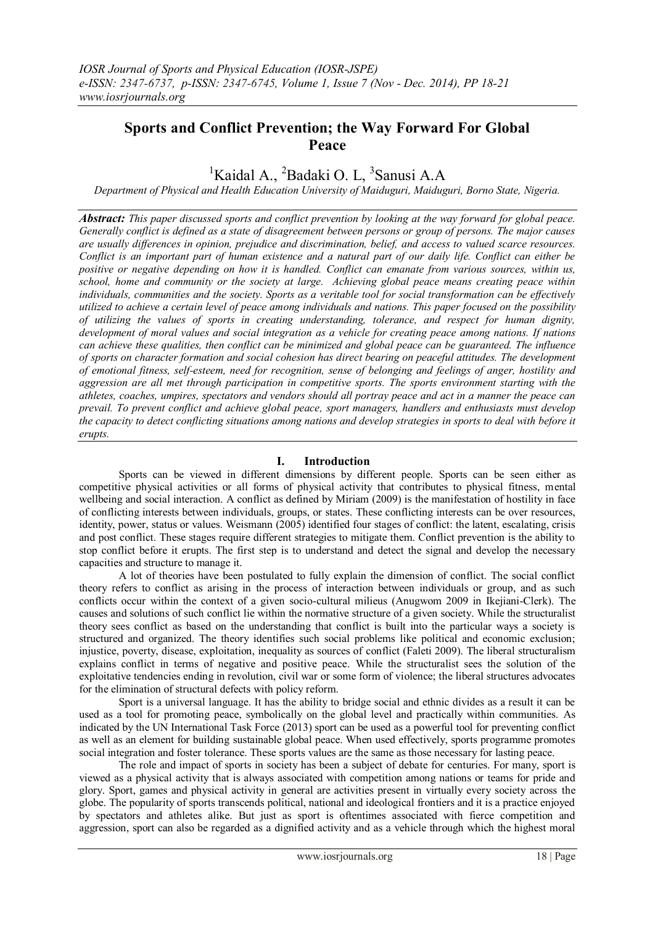# **Sports and Conflict Prevention; the Way Forward For Global Peace**

# <sup>1</sup>Kaidal A., <sup>2</sup>Badaki O. L, <sup>3</sup>Sanusi A.A

*Department of Physical and Health Education University of Maiduguri, Maiduguri, Borno State, Nigeria.*

*Abstract: This paper discussed sports and conflict prevention by looking at the way forward for global peace. Generally conflict is defined as a state of disagreement between persons or group of persons. The major causes are usually differences in opinion, prejudice and discrimination, belief, and access to valued scarce resources. Conflict is an important part of human existence and a natural part of our daily life. Conflict can either be positive or negative depending on how it is handled. Conflict can emanate from various sources, within us, school, home and community or the society at large. Achieving global peace means creating peace within individuals, communities and the society. Sports as a veritable tool for social transformation can be effectively utilized to achieve a certain level of peace among individuals and nations. This paper focused on the possibility of utilizing the values of sports in creating understanding, tolerance, and respect for human dignity, development of moral values and social integration as a vehicle for creating peace among nations. If nations can achieve these qualities, then conflict can be minimized and global peace can be guaranteed. The influence of sports on character formation and social cohesion has direct bearing on peaceful attitudes. The development of emotional fitness, self-esteem, need for recognition, sense of belonging and feelings of anger, hostility and aggression are all met through participation in competitive sports. The sports environment starting with the athletes, coaches, umpires, spectators and vendors should all portray peace and act in a manner the peace can prevail. To prevent conflict and achieve global peace, sport managers, handlers and enthusiasts must develop the capacity to detect conflicting situations among nations and develop strategies in sports to deal with before it erupts.*

## **I. Introduction**

Sports can be viewed in different dimensions by different people. Sports can be seen either as competitive physical activities or all forms of physical activity that contributes to physical fitness, mental wellbeing and social interaction. A conflict as defined by Miriam (2009) is the manifestation of hostility in face of conflicting interests between individuals, groups, or states. These conflicting interests can be over resources, identity, power, status or values. Weismann (2005) identified four stages of conflict: the latent, escalating, crisis and post conflict. These stages require different strategies to mitigate them. Conflict prevention is the ability to stop conflict before it erupts. The first step is to understand and detect the signal and develop the necessary capacities and structure to manage it.

A lot of theories have been postulated to fully explain the dimension of conflict. The social conflict theory refers to conflict as arising in the process of interaction between individuals or group, and as such conflicts occur within the context of a given socio-cultural milieus (Anugwom 2009 in Ikejiani-Clerk). The causes and solutions of such conflict lie within the normative structure of a given society. While the structuralist theory sees conflict as based on the understanding that conflict is built into the particular ways a society is structured and organized. The theory identifies such social problems like political and economic exclusion; injustice, poverty, disease, exploitation, inequality as sources of conflict (Faleti 2009). The liberal structuralism explains conflict in terms of negative and positive peace. While the structuralist sees the solution of the exploitative tendencies ending in revolution, civil war or some form of violence; the liberal structures advocates for the elimination of structural defects with policy reform.

Sport is a universal language. It has the ability to bridge social and ethnic divides as a result it can be used as a tool for promoting peace, symbolically on the global level and practically within communities. As indicated by the UN International Task Force (2013) sport can be used as a powerful tool for preventing conflict as well as an element for building sustainable global peace. When used effectively, sports programme promotes social integration and foster tolerance. These sports values are the same as those necessary for lasting peace.

The role and impact of sports in society has been a subject of debate for centuries. For many, sport is viewed as a physical activity that is always associated with competition among nations or teams for pride and glory. Sport, games and physical activity in general are activities present in virtually every society across the globe. The popularity of sports transcends political, national and ideological frontiers and it is a practice enjoyed by spectators and athletes alike. But just as sport is oftentimes associated with fierce competition and aggression, sport can also be regarded as a dignified activity and as a vehicle through which the highest moral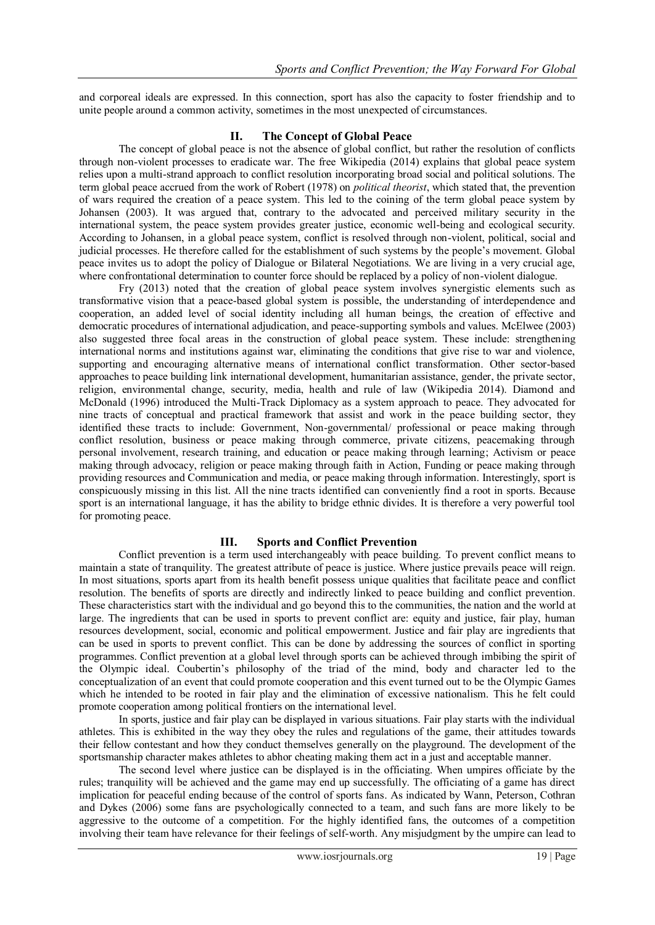and corporeal ideals are expressed. In this connection, sport has also the capacity to foster friendship and to unite people around a common activity, sometimes in the most unexpected of circumstances.

### **II. The Concept of Global Peace**

The concept of global peace is not the absence of global conflict, but rather the resolution of conflicts through non-violent processes to eradicate war. The free Wikipedia (2014) explains that global peace system relies upon a multi-strand approach to conflict resolution incorporating broad social and political solutions. The term global peace accrued from the work of Robert (1978) on *political theorist*, which stated that, the prevention of wars required the creation of a peace system. This led to the coining of the term global peace system by Johansen (2003). It was argued that, contrary to the advocated and perceived military security in the international system, the peace system provides greater justice, economic well-being and ecological security. According to Johansen, in a global peace system, conflict is resolved through non-violent, political, social and judicial processes. He therefore called for the establishment of such systems by the people's movement. Global peace invites us to adopt the policy of Dialogue or Bilateral Negotiations. We are living in a very crucial age, where confrontational determination to counter force should be replaced by a policy of non-violent dialogue.

Fry (2013) noted that the creation of global peace system involves synergistic elements such as transformative vision that a peace-based global system is possible, the understanding of interdependence and cooperation, an added level of social identity including all human beings, the creation of effective and democratic procedures of international adjudication, and peace-supporting symbols and values. McElwee (2003) also suggested three focal areas in the construction of global peace system. These include: strengthening international norms and institutions against war, eliminating the conditions that give rise to war and violence, supporting and encouraging alternative means of international conflict transformation. Other sector-based approaches to peace building link international development, humanitarian assistance, gender, the private sector, religion, environmental change, security, media, health and rule of law (Wikipedia 2014). Diamond and McDonald (1996) introduced the Multi-Track Diplomacy as a system approach to peace. They advocated for nine tracts of conceptual and practical framework that assist and work in the peace building sector, they identified these tracts to include: Government, Non-governmental/ professional or peace making through conflict resolution, business or peace making through commerce, private citizens, peacemaking through personal involvement, research training, and education or peace making through learning; Activism or peace making through advocacy, religion or peace making through faith in Action, Funding or peace making through providing resources and Communication and media, or peace making through information. Interestingly, sport is conspicuously missing in this list. All the nine tracts identified can conveniently find a root in sports. Because sport is an international language, it has the ability to bridge ethnic divides. It is therefore a very powerful tool for promoting peace.

#### **III. Sports and Conflict Prevention**

Conflict prevention is a term used interchangeably with peace building. To prevent conflict means to maintain a state of tranquility. The greatest attribute of peace is justice. Where justice prevails peace will reign. In most situations, sports apart from its health benefit possess unique qualities that facilitate peace and conflict resolution. The benefits of sports are directly and indirectly linked to peace building and conflict prevention. These characteristics start with the individual and go beyond this to the communities, the nation and the world at large. The ingredients that can be used in sports to prevent conflict are: equity and justice, fair play, human resources development, social, economic and political empowerment. Justice and fair play are ingredients that can be used in sports to prevent conflict. This can be done by addressing the sources of conflict in sporting programmes. Conflict prevention at a global level through sports can be achieved through imbibing the spirit of the Olympic ideal. Coubertin's philosophy of the triad of the mind, body and character led to the conceptualization of an event that could promote cooperation and this event turned out to be the Olympic Games which he intended to be rooted in fair play and the elimination of excessive nationalism. This he felt could promote cooperation among political frontiers on the international level.

In sports, justice and fair play can be displayed in various situations. Fair play starts with the individual athletes. This is exhibited in the way they obey the rules and regulations of the game, their attitudes towards their fellow contestant and how they conduct themselves generally on the playground. The development of the sportsmanship character makes athletes to abhor cheating making them act in a just and acceptable manner.

The second level where justice can be displayed is in the officiating. When umpires officiate by the rules; tranquility will be achieved and the game may end up successfully. The officiating of a game has direct implication for peaceful ending because of the control of sports fans. As indicated by Wann, Peterson, Cothran and Dykes (2006) some fans are psychologically connected to a team, and such fans are more likely to be aggressive to the outcome of a competition. For the highly identified fans, the outcomes of a competition involving their team have relevance for their feelings of self-worth. Any misjudgment by the umpire can lead to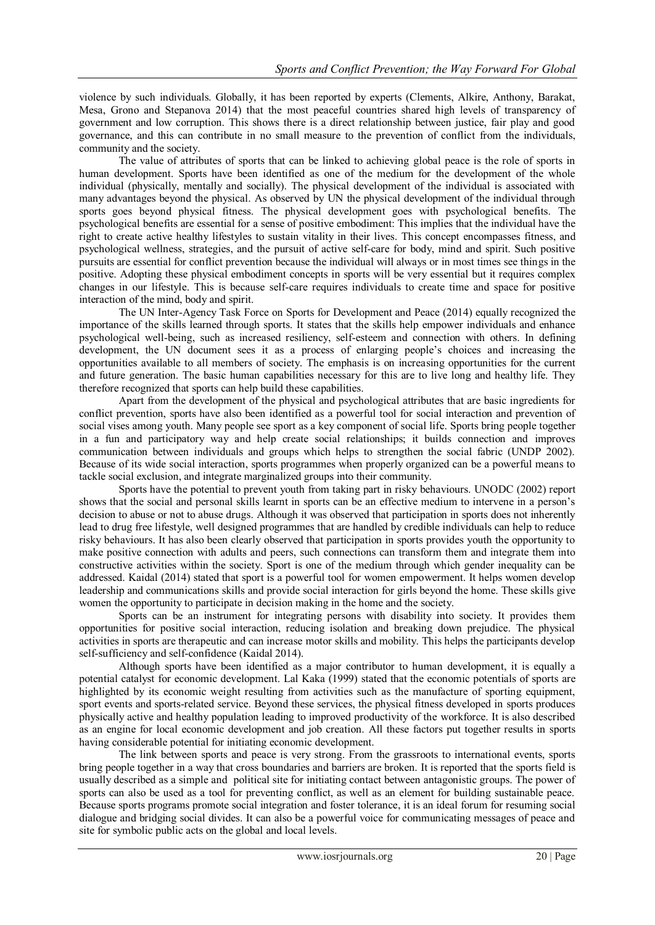violence by such individuals. Globally, it has been reported by experts (Clements, Alkire, Anthony, Barakat, Mesa, Grono and Stepanova 2014) that the most peaceful countries shared high levels of transparency of government and low corruption. This shows there is a direct relationship between justice, fair play and good governance, and this can contribute in no small measure to the prevention of conflict from the individuals, community and the society.

The value of attributes of sports that can be linked to achieving global peace is the role of sports in human development. Sports have been identified as one of the medium for the development of the whole individual (physically, mentally and socially). The physical development of the individual is associated with many advantages beyond the physical. As observed by UN the physical development of the individual through sports goes beyond physical fitness. The physical development goes with psychological benefits. The psychological benefits are essential for a sense of positive embodiment: This implies that the individual have the right to create active healthy lifestyles to sustain vitality in their lives. This concept encompasses fitness, and psychological wellness, strategies, and the pursuit of active self-care for body, mind and spirit. Such positive pursuits are essential for conflict prevention because the individual will always or in most times see things in the positive. Adopting these physical embodiment concepts in sports will be very essential but it requires complex changes in our lifestyle. This is because self-care requires individuals to create time and space for positive interaction of the mind, body and spirit.

The UN Inter-Agency Task Force on Sports for Development and Peace (2014) equally recognized the importance of the skills learned through sports. It states that the skills help empower individuals and enhance psychological well-being, such as increased resiliency, self-esteem and connection with others. In defining development, the UN document sees it as a process of enlarging people's choices and increasing the opportunities available to all members of society. The emphasis is on increasing opportunities for the current and future generation. The basic human capabilities necessary for this are to live long and healthy life. They therefore recognized that sports can help build these capabilities.

Apart from the development of the physical and psychological attributes that are basic ingredients for conflict prevention, sports have also been identified as a powerful tool for social interaction and prevention of social vises among youth. Many people see sport as a key component of social life. Sports bring people together in a fun and participatory way and help create social relationships; it builds connection and improves communication between individuals and groups which helps to strengthen the social fabric (UNDP 2002). Because of its wide social interaction, sports programmes when properly organized can be a powerful means to tackle social exclusion, and integrate marginalized groups into their community.

Sports have the potential to prevent youth from taking part in risky behaviours. UNODC (2002) report shows that the social and personal skills learnt in sports can be an effective medium to intervene in a person's decision to abuse or not to abuse drugs. Although it was observed that participation in sports does not inherently lead to drug free lifestyle, well designed programmes that are handled by credible individuals can help to reduce risky behaviours. It has also been clearly observed that participation in sports provides youth the opportunity to make positive connection with adults and peers, such connections can transform them and integrate them into constructive activities within the society. Sport is one of the medium through which gender inequality can be addressed. Kaidal (2014) stated that sport is a powerful tool for women empowerment. It helps women develop leadership and communications skills and provide social interaction for girls beyond the home. These skills give women the opportunity to participate in decision making in the home and the society.

Sports can be an instrument for integrating persons with disability into society. It provides them opportunities for positive social interaction, reducing isolation and breaking down prejudice. The physical activities in sports are therapeutic and can increase motor skills and mobility. This helps the participants develop self-sufficiency and self-confidence (Kaidal 2014).

Although sports have been identified as a major contributor to human development, it is equally a potential catalyst for economic development. Lal Kaka (1999) stated that the economic potentials of sports are highlighted by its economic weight resulting from activities such as the manufacture of sporting equipment, sport events and sports-related service. Beyond these services, the physical fitness developed in sports produces physically active and healthy population leading to improved productivity of the workforce. It is also described as an engine for local economic development and job creation. All these factors put together results in sports having considerable potential for initiating economic development.

The link between sports and peace is very strong. From the grassroots to international events, sports bring people together in a way that cross boundaries and barriers are broken. It is reported that the sports field is usually described as a simple and political site for initiating contact between antagonistic groups. The power of sports can also be used as a tool for preventing conflict, as well as an element for building sustainable peace. Because sports programs promote social integration and foster tolerance, it is an ideal forum for resuming social dialogue and bridging social divides. It can also be a powerful voice for communicating messages of peace and site for symbolic public acts on the global and local levels.